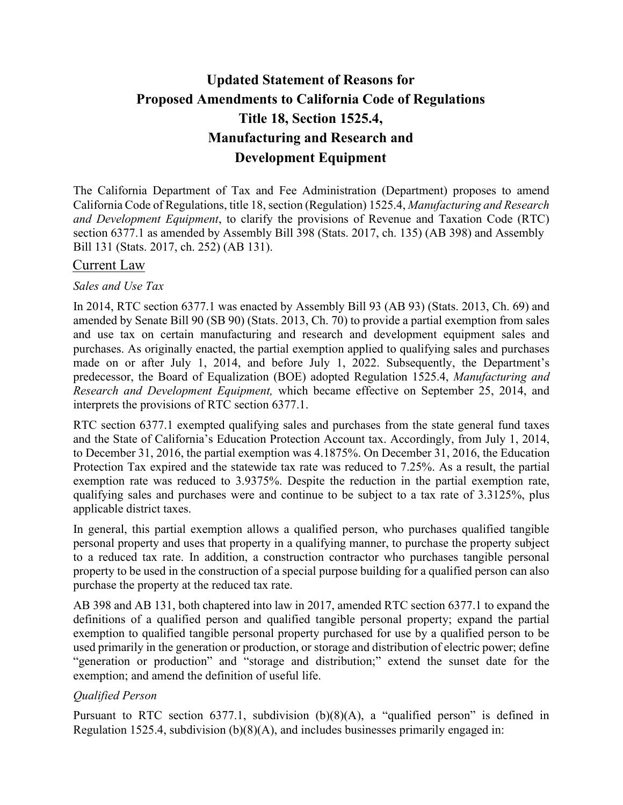# **Updated Statement of Reasons for Proposed Amendments to California Code of Regulations Title 18, Section 1525.4, Manufacturing and Research and Development Equipment**

The California Department of Tax and Fee Administration (Department) proposes to amend California Code of Regulations, title 18, section (Regulation) 1525.4, *Manufacturing and Research and Development Equipment*, to clarify the provisions of Revenue and Taxation Code (RTC) section 6377.1 as amended by Assembly Bill 398 (Stats. 2017, ch. 135) (AB 398) and Assembly Bill 131 (Stats. 2017, ch. 252) (AB 131).

## Current Law

#### *Sales and Use Tax*

In 2014, RTC section 6377.1 was enacted by Assembly Bill 93 (AB 93) (Stats. 2013, Ch. 69) and amended by Senate Bill 90 (SB 90) (Stats. 2013, Ch. 70) to provide a partial exemption from sales and use tax on certain manufacturing and research and development equipment sales and purchases. As originally enacted, the partial exemption applied to qualifying sales and purchases made on or after July 1, 2014, and before July 1, 2022. Subsequently, the Department's predecessor, the Board of Equalization (BOE) adopted Regulation 1525.4, *Manufacturing and Research and Development Equipment,* which became effective on September 25, 2014, and interprets the provisions of RTC section 6377.1.

RTC section 6377.1 exempted qualifying sales and purchases from the state general fund taxes and the State of California's Education Protection Account tax. Accordingly, from July 1, 2014, to December 31, 2016, the partial exemption was 4.1875%. On December 31, 2016, the Education Protection Tax expired and the statewide tax rate was reduced to 7.25%. As a result, the partial exemption rate was reduced to 3.9375%. Despite the reduction in the partial exemption rate, qualifying sales and purchases were and continue to be subject to a tax rate of 3.3125%, plus applicable district taxes.

In general, this partial exemption allows a qualified person, who purchases qualified tangible personal property and uses that property in a qualifying manner, to purchase the property subject to a reduced tax rate. In addition, a construction contractor who purchases tangible personal property to be used in the construction of a special purpose building for a qualified person can also purchase the property at the reduced tax rate.

AB 398 and AB 131, both chaptered into law in 2017, amended RTC section 6377.1 to expand the definitions of a qualified person and qualified tangible personal property; expand the partial exemption to qualified tangible personal property purchased for use by a qualified person to be used primarily in the generation or production, or storage and distribution of electric power; define "generation or production" and "storage and distribution;" extend the sunset date for the exemption; and amend the definition of useful life.

## *Qualified Person*

Pursuant to RTC section 6377.1, subdivision (b)(8)(A), a "qualified person" is defined in Regulation 1525.4, subdivision (b)(8)(A), and includes businesses primarily engaged in: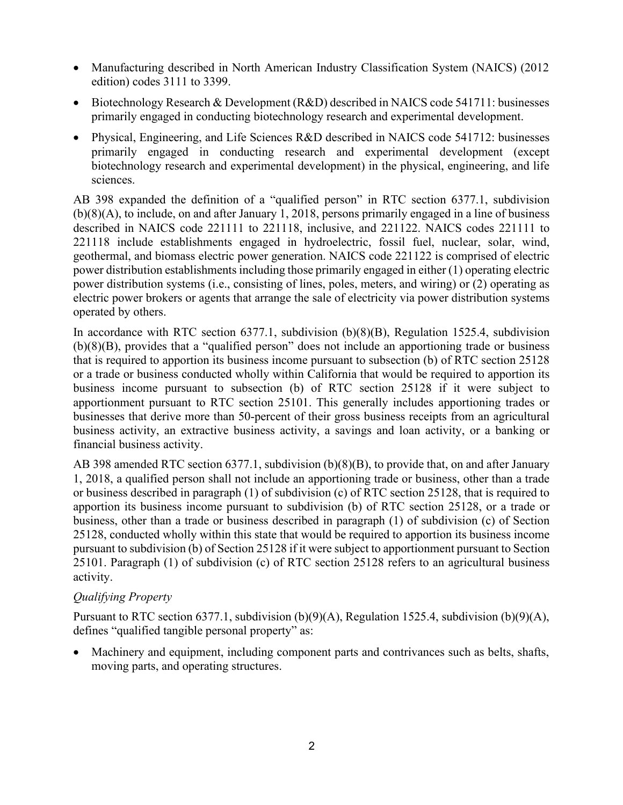- Manufacturing described in North American Industry Classification System (NAICS) (2012) edition) codes 3111 to 3399.
- Biotechnology Research & Development (R&D) described in NAICS code 541711: businesses primarily engaged in conducting biotechnology research and experimental development.
- Physical, Engineering, and Life Sciences R&D described in NAICS code 541712: businesses primarily engaged in conducting research and experimental development (except biotechnology research and experimental development) in the physical, engineering, and life sciences.

AB 398 expanded the definition of a "qualified person" in RTC section 6377.1, subdivision (b)(8)(A), to include, on and after January 1, 2018, persons primarily engaged in a line of business described in NAICS code 221111 to 221118, inclusive, and 221122. NAICS codes 221111 to 221118 include establishments engaged in hydroelectric, fossil fuel, nuclear, solar, wind, geothermal, and biomass electric power generation. NAICS code 221122 is comprised of electric power distribution establishments including those primarily engaged in either (1) operating electric power distribution systems (i.e., consisting of lines, poles, meters, and wiring) or (2) operating as electric power brokers or agents that arrange the sale of electricity via power distribution systems operated by others.

In accordance with RTC section 6377.1, subdivision (b)(8)(B), Regulation 1525.4, subdivision (b)(8)(B), provides that a "qualified person" does not include an apportioning trade or business that is required to apportion its business income pursuant to subsection (b) of RTC section 25128 or a trade or business conducted wholly within California that would be required to apportion its business income pursuant to subsection (b) of RTC section 25128 if it were subject to apportionment pursuant to RTC section 25101. This generally includes apportioning trades or businesses that derive more than 50-percent of their gross business receipts from an agricultural business activity, an extractive business activity, a savings and loan activity, or a banking or financial business activity.

AB 398 amended RTC section 6377.1, subdivision (b)(8)(B), to provide that, on and after January 1, 2018, a qualified person shall not include an apportioning trade or business, other than a trade or business described in paragraph (1) of subdivision (c) of RTC section 25128, that is required to apportion its business income pursuant to subdivision (b) of RTC section 25128, or a trade or business, other than a trade or business described in paragraph (1) of subdivision (c) of Section 25128, conducted wholly within this state that would be required to apportion its business income pursuant to subdivision (b) of Section 25128 if it were subject to apportionment pursuant to Section 25101. Paragraph (1) of subdivision (c) of RTC section 25128 refers to an agricultural business activity.

# *Qualifying Property*

Pursuant to RTC section 6377.1, subdivision (b)(9)(A), Regulation 1525.4, subdivision (b)(9)(A), defines "qualified tangible personal property" as:

• Machinery and equipment, including component parts and contrivances such as belts, shafts, moving parts, and operating structures.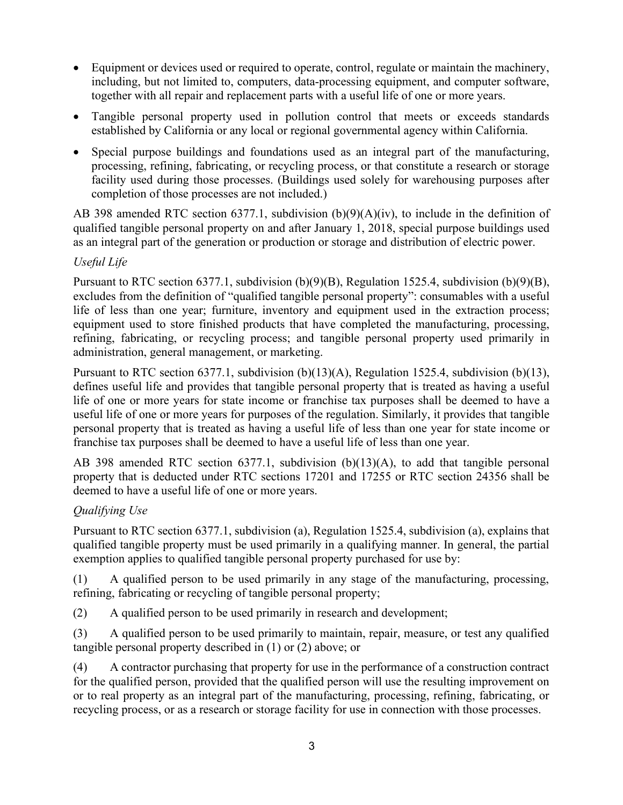- Equipment or devices used or required to operate, control, regulate or maintain the machinery, including, but not limited to, computers, data-processing equipment, and computer software, together with all repair and replacement parts with a useful life of one or more years.
- Tangible personal property used in pollution control that meets or exceeds standards established by California or any local or regional governmental agency within California.
- Special purpose buildings and foundations used as an integral part of the manufacturing, processing, refining, fabricating, or recycling process, or that constitute a research or storage facility used during those processes. (Buildings used solely for warehousing purposes after completion of those processes are not included.)

AB 398 amended RTC section 6377.1, subdivision (b)(9)(A)(iv), to include in the definition of qualified tangible personal property on and after January 1, 2018, special purpose buildings used as an integral part of the generation or production or storage and distribution of electric power.

## *Useful Life*

Pursuant to RTC section 6377.1, subdivision (b)(9)(B), Regulation 1525.4, subdivision (b)(9)(B), excludes from the definition of "qualified tangible personal property": consumables with a useful life of less than one year; furniture, inventory and equipment used in the extraction process; equipment used to store finished products that have completed the manufacturing, processing, refining, fabricating, or recycling process; and tangible personal property used primarily in administration, general management, or marketing.

Pursuant to RTC section 6377.1, subdivision (b)(13)(A), Regulation 1525.4, subdivision (b)(13), defines useful life and provides that tangible personal property that is treated as having a useful life of one or more years for state income or franchise tax purposes shall be deemed to have a useful life of one or more years for purposes of the regulation. Similarly, it provides that tangible personal property that is treated as having a useful life of less than one year for state income or franchise tax purposes shall be deemed to have a useful life of less than one year.

AB 398 amended RTC section 6377.1, subdivision (b)(13)(A), to add that tangible personal property that is deducted under RTC sections 17201 and 17255 or RTC section 24356 shall be deemed to have a useful life of one or more years.

# *Qualifying Use*

Pursuant to RTC section 6377.1, subdivision (a), Regulation 1525.4, subdivision (a), explains that qualified tangible property must be used primarily in a qualifying manner. In general, the partial exemption applies to qualified tangible personal property purchased for use by:

(1) A qualified person to be used primarily in any stage of the manufacturing, processing, refining, fabricating or recycling of tangible personal property;

(2) A qualified person to be used primarily in research and development;

(3) A qualified person to be used primarily to maintain, repair, measure, or test any qualified tangible personal property described in (1) or (2) above; or

(4) A contractor purchasing that property for use in the performance of a construction contract for the qualified person, provided that the qualified person will use the resulting improvement on or to real property as an integral part of the manufacturing, processing, refining, fabricating, or recycling process, or as a research or storage facility for use in connection with those processes.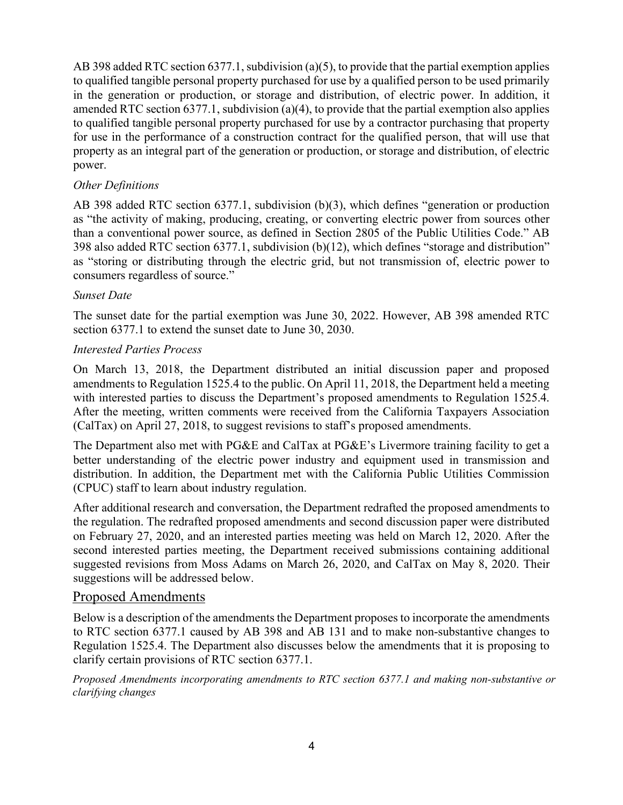AB 398 added RTC section 6377.1, subdivision (a)(5), to provide that the partial exemption applies to qualified tangible personal property purchased for use by a qualified person to be used primarily in the generation or production, or storage and distribution, of electric power. In addition, it amended RTC section 6377.1, subdivision (a)(4), to provide that the partial exemption also applies to qualified tangible personal property purchased for use by a contractor purchasing that property for use in the performance of a construction contract for the qualified person, that will use that property as an integral part of the generation or production, or storage and distribution, of electric power.

#### *Other Definitions*

AB 398 added RTC section 6377.1, subdivision (b)(3), which defines "generation or production as "the activity of making, producing, creating, or converting electric power from sources other than a conventional power source, as defined in Section 2805 of the Public Utilities Code." AB 398 also added RTC section 6377.1, subdivision (b)(12), which defines "storage and distribution" as "storing or distributing through the electric grid, but not transmission of, electric power to consumers regardless of source."

#### *Sunset Date*

The sunset date for the partial exemption was June 30, 2022. However, AB 398 amended RTC section 6377.1 to extend the sunset date to June 30, 2030.

#### *Interested Parties Process*

On March 13, 2018, the Department distributed an initial discussion paper and proposed amendments to Regulation 1525.4 to the public. On April 11, 2018, the Department held a meeting with interested parties to discuss the Department's proposed amendments to Regulation 1525.4. After the meeting, written comments were received from the California Taxpayers Association (CalTax) on April 27, 2018, to suggest revisions to staff's proposed amendments.

The Department also met with PG&E and CalTax at PG&E's Livermore training facility to get a better understanding of the electric power industry and equipment used in transmission and distribution. In addition, the Department met with the California Public Utilities Commission (CPUC) staff to learn about industry regulation.

After additional research and conversation, the Department redrafted the proposed amendments to the regulation. The redrafted proposed amendments and second discussion paper were distributed on February 27, 2020, and an interested parties meeting was held on March 12, 2020. After the second interested parties meeting, the Department received submissions containing additional suggested revisions from Moss Adams on March 26, 2020, and CalTax on May 8, 2020. Their suggestions will be addressed below.

## Proposed Amendments

Below is a description of the amendments the Department proposes to incorporate the amendments to RTC section 6377.1 caused by AB 398 and AB 131 and to make non-substantive changes to Regulation 1525.4. The Department also discusses below the amendments that it is proposing to clarify certain provisions of RTC section 6377.1.

*Proposed Amendments incorporating amendments to RTC section 6377.1 and making non-substantive or clarifying changes*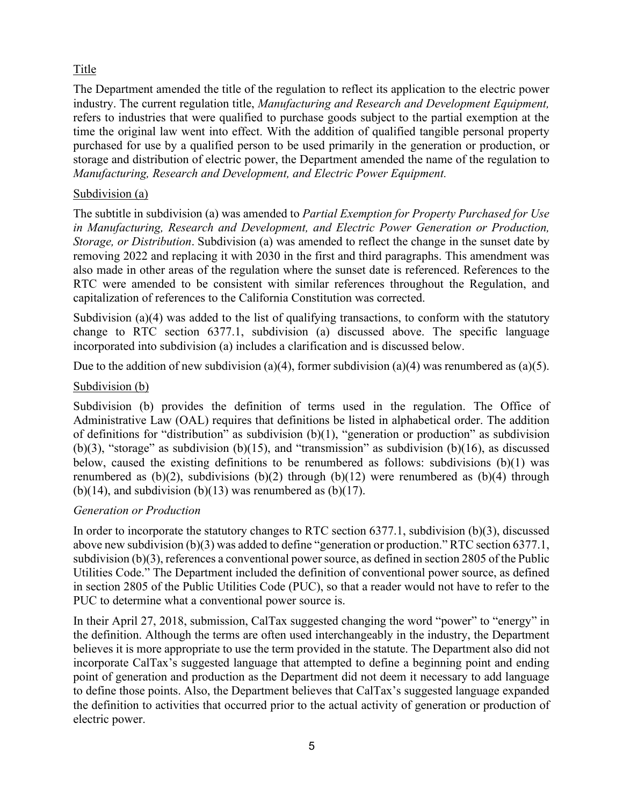# Title

The Department amended the title of the regulation to reflect its application to the electric power industry. The current regulation title, *Manufacturing and Research and Development Equipment,* refers to industries that were qualified to purchase goods subject to the partial exemption at the time the original law went into effect. With the addition of qualified tangible personal property purchased for use by a qualified person to be used primarily in the generation or production, or storage and distribution of electric power, the Department amended the name of the regulation to *Manufacturing, Research and Development, and Electric Power Equipment.* 

## Subdivision (a)

The subtitle in subdivision (a) was amended to *Partial Exemption for Property Purchased for Use in Manufacturing, Research and Development, and Electric Power Generation or Production, Storage, or Distribution*. Subdivision (a) was amended to reflect the change in the sunset date by removing 2022 and replacing it with 2030 in the first and third paragraphs. This amendment was also made in other areas of the regulation where the sunset date is referenced. References to the RTC were amended to be consistent with similar references throughout the Regulation, and capitalization of references to the California Constitution was corrected.

Subdivision (a)(4) was added to the list of qualifying transactions, to conform with the statutory change to RTC section 6377.1, subdivision (a) discussed above. The specific language incorporated into subdivision (a) includes a clarification and is discussed below.

Due to the addition of new subdivision (a)(4), former subdivision (a)(4) was renumbered as (a)(5).

#### Subdivision (b)

Subdivision (b) provides the definition of terms used in the regulation. The Office of Administrative Law (OAL) requires that definitions be listed in alphabetical order. The addition of definitions for "distribution" as subdivision (b)(1), "generation or production" as subdivision (b)(3), "storage" as subdivision (b)(15), and "transmission" as subdivision (b)(16), as discussed below, caused the existing definitions to be renumbered as follows: subdivisions  $(b)(1)$  was renumbered as  $(b)(2)$ , subdivisions  $(b)(2)$  through  $(b)(12)$  were renumbered as  $(b)(4)$  through (b)(14), and subdivision (b)(13) was renumbered as (b)(17).

#### *Generation or Production*

In order to incorporate the statutory changes to RTC section 6377.1, subdivision (b)(3), discussed above new subdivision (b)(3) was added to define "generation or production." RTC section 6377.1, subdivision (b)(3), references a conventional power source, as defined in section 2805 of the Public Utilities Code." The Department included the definition of conventional power source, as defined in section 2805 of the Public Utilities Code (PUC), so that a reader would not have to refer to the PUC to determine what a conventional power source is.

In their April 27, 2018, submission, CalTax suggested changing the word "power" to "energy" in the definition. Although the terms are often used interchangeably in the industry, the Department believes it is more appropriate to use the term provided in the statute. The Department also did not incorporate CalTax's suggested language that attempted to define a beginning point and ending point of generation and production as the Department did not deem it necessary to add language to define those points. Also, the Department believes that CalTax's suggested language expanded the definition to activities that occurred prior to the actual activity of generation or production of electric power.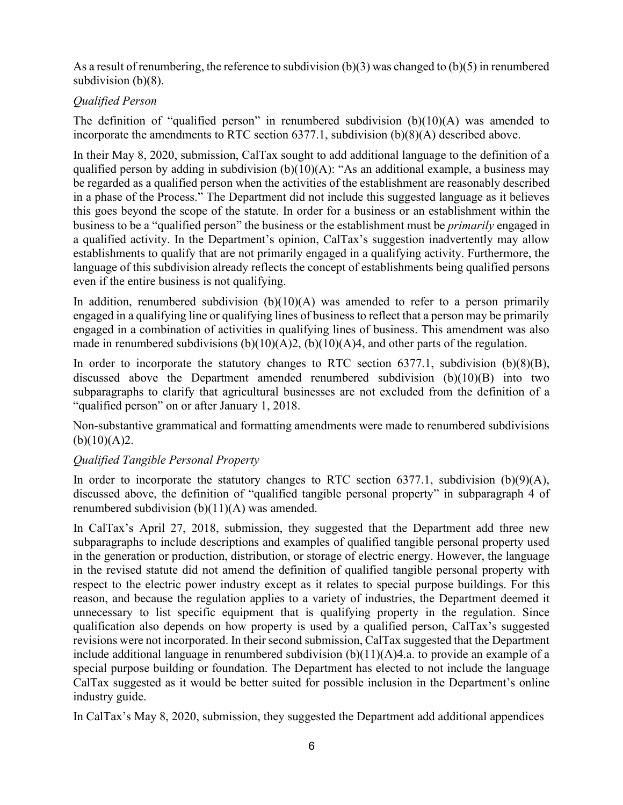As a result of renumbering, the reference to subdivision (b)(3) was changed to (b)(5) in renumbered subdivision (b)(8).

# *Qualified Person*

The definition of "qualified person" in renumbered subdivision  $(b)(10)(A)$  was amended to incorporate the amendments to RTC section 6377.1, subdivision (b)(8)(A) described above.

In their May 8, 2020, submission, CalTax sought to add additional language to the definition of a qualified person by adding in subdivision  $(b)(10)(A)$ : "As an additional example, a business may be regarded as a qualified person when the activities of the establishment are reasonably described in a phase of the Process." The Department did not include this suggested language as it believes this goes beyond the scope of the statute. In order for a business or an establishment within the business to be a "qualified person" the business or the establishment must be *primarily* engaged in a qualified activity. In the Department's opinion, CalTax's suggestion inadvertently may allow establishments to qualify that are not primarily engaged in a qualifying activity. Furthermore, the language of this subdivision already reflects the concept of establishments being qualified persons even if the entire business is not qualifying.

In addition, renumbered subdivision  $(b)(10)(A)$  was amended to refer to a person primarily engaged in a qualifying line or qualifying lines of business to reflect that a person may be primarily engaged in a combination of activities in qualifying lines of business. This amendment was also made in renumbered subdivisions  $(b)(10)(A)2$ ,  $(b)(10)(A)4$ , and other parts of the regulation.

In order to incorporate the statutory changes to RTC section  $6377.1$ , subdivision  $(b)(8)(B)$ , discussed above the Department amended renumbered subdivision (b)(10)(B) into two subparagraphs to clarify that agricultural businesses are not excluded from the definition of a "qualified person" on or after January 1, 2018.

Non-substantive grammatical and formatting amendments were made to renumbered subdivisions  $(b)(10)(A)2.$ 

# *Qualified Tangible Personal Property*

In order to incorporate the statutory changes to RTC section 6377.1, subdivision  $(b)(9)(A)$ , discussed above, the definition of "qualified tangible personal property" in subparagraph 4 of renumbered subdivision (b)(11)(A) was amended.

In CalTax's April 27, 2018, submission, they suggested that the Department add three new subparagraphs to include descriptions and examples of qualified tangible personal property used in the generation or production, distribution, or storage of electric energy. However, the language in the revised statute did not amend the definition of qualified tangible personal property with respect to the electric power industry except as it relates to special purpose buildings. For this reason, and because the regulation applies to a variety of industries, the Department deemed it unnecessary to list specific equipment that is qualifying property in the regulation. Since qualification also depends on how property is used by a qualified person, CalTax's suggested revisions were not incorporated. In their second submission, CalTax suggested that the Department include additional language in renumbered subdivision (b)(11)(A)4.a. to provide an example of a special purpose building or foundation. The Department has elected to not include the language CalTax suggested as it would be better suited for possible inclusion in the Department's online industry guide.

In CalTax's May 8, 2020, submission, they suggested the Department add additional appendices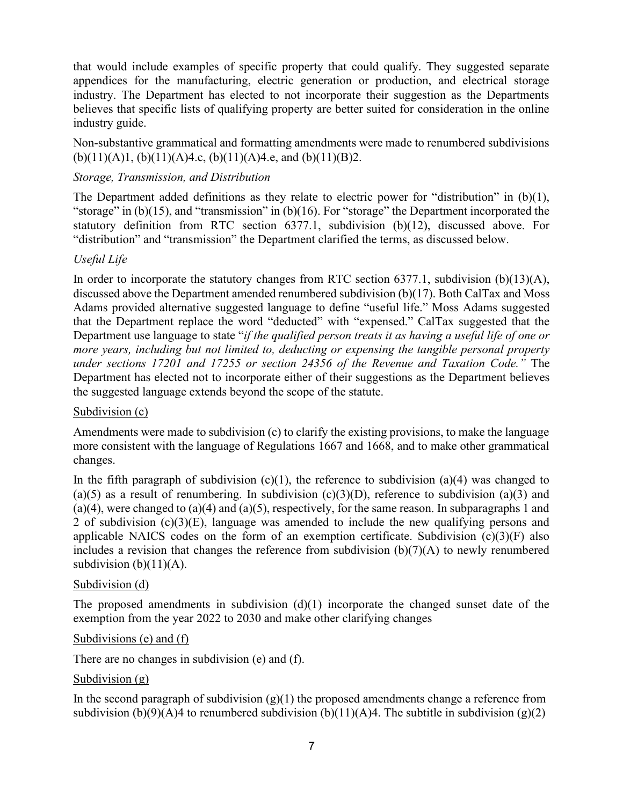that would include examples of specific property that could qualify. They suggested separate appendices for the manufacturing, electric generation or production, and electrical storage industry. The Department has elected to not incorporate their suggestion as the Departments believes that specific lists of qualifying property are better suited for consideration in the online industry guide.

Non-substantive grammatical and formatting amendments were made to renumbered subdivisions  $(b)(11)(A)1, (b)(11)(A)4.c, (b)(11)(A)4.e, and (b)(11)(B)2.$ 

## *Storage, Transmission, and Distribution*

The Department added definitions as they relate to electric power for "distribution" in (b)(1), "storage" in (b)(15), and "transmission" in (b)(16). For "storage" the Department incorporated the statutory definition from RTC section 6377.1, subdivision (b)(12), discussed above. For "distribution" and "transmission" the Department clarified the terms, as discussed below.

## *Useful Life*

In order to incorporate the statutory changes from RTC section 6377.1, subdivision (b)(13)(A), discussed above the Department amended renumbered subdivision (b)(17). Both CalTax and Moss Adams provided alternative suggested language to define "useful life." Moss Adams suggested that the Department replace the word "deducted" with "expensed." CalTax suggested that the Department use language to state "*if the qualified person treats it as having a useful life of one or more years, including but not limited to, deducting or expensing the tangible personal property under sections 17201 and 17255 or section 24356 of the Revenue and Taxation Code."* The Department has elected not to incorporate either of their suggestions as the Department believes the suggested language extends beyond the scope of the statute.

## Subdivision (c)

Amendments were made to subdivision (c) to clarify the existing provisions, to make the language more consistent with the language of Regulations 1667 and 1668, and to make other grammatical changes.

In the fifth paragraph of subdivision  $(c)(1)$ , the reference to subdivision  $(a)(4)$  was changed to (a)(5) as a result of renumbering. In subdivision (c)(3)(D), reference to subdivision (a)(3) and  $(a)(4)$ , were changed to  $(a)(4)$  and  $(a)(5)$ , respectively, for the same reason. In subparagraphs 1 and 2 of subdivision (c)(3)(E), language was amended to include the new qualifying persons and applicable NAICS codes on the form of an exemption certificate. Subdivision  $(c)(3)(F)$  also includes a revision that changes the reference from subdivision (b)(7)(A) to newly renumbered subdivision  $(b)(11)(A)$ .

## Subdivision (d)

The proposed amendments in subdivision  $(d)(1)$  incorporate the changed sunset date of the exemption from the year 2022 to 2030 and make other clarifying changes

## Subdivisions (e) and (f)

There are no changes in subdivision (e) and (f).

## Subdivision (g)

In the second paragraph of subdivision  $(g)(1)$  the proposed amendments change a reference from subdivision (b)(9)(A)4 to renumbered subdivision (b)(11)(A)4. The subtitle in subdivision (g)(2)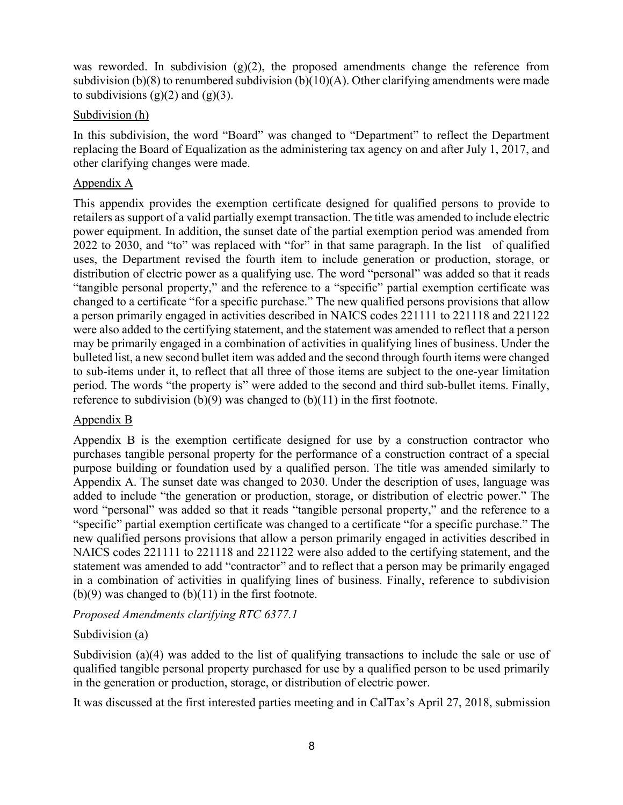was reworded. In subdivision  $(g)(2)$ , the proposed amendments change the reference from subdivision (b)(8) to renumbered subdivision (b)(10)(A). Other clarifying amendments were made to subdivisions  $(g)(2)$  and  $(g)(3)$ .

#### Subdivision (h)

In this subdivision, the word "Board" was changed to "Department" to reflect the Department replacing the Board of Equalization as the administering tax agency on and after July 1, 2017, and other clarifying changes were made.

#### Appendix A

This appendix provides the exemption certificate designed for qualified persons to provide to retailers as support of a valid partially exempt transaction. The title was amended to include electric power equipment. In addition, the sunset date of the partial exemption period was amended from 2022 to 2030, and "to" was replaced with "for" in that same paragraph. In the list of qualified uses, the Department revised the fourth item to include generation or production, storage, or distribution of electric power as a qualifying use. The word "personal" was added so that it reads "tangible personal property," and the reference to a "specific" partial exemption certificate was changed to a certificate "for a specific purchase." The new qualified persons provisions that allow a person primarily engaged in activities described in NAICS codes 221111 to 221118 and 221122 were also added to the certifying statement, and the statement was amended to reflect that a person may be primarily engaged in a combination of activities in qualifying lines of business. Under the bulleted list, a new second bullet item was added and the second through fourth items were changed to sub-items under it, to reflect that all three of those items are subject to the one-year limitation period. The words "the property is" were added to the second and third sub-bullet items. Finally, reference to subdivision  $(b)(9)$  was changed to  $(b)(11)$  in the first footnote.

#### Appendix B

Appendix B is the exemption certificate designed for use by a construction contractor who purchases tangible personal property for the performance of a construction contract of a special purpose building or foundation used by a qualified person. The title was amended similarly to Appendix A. The sunset date was changed to 2030. Under the description of uses, language was added to include "the generation or production, storage, or distribution of electric power." The word "personal" was added so that it reads "tangible personal property," and the reference to a "specific" partial exemption certificate was changed to a certificate "for a specific purchase." The new qualified persons provisions that allow a person primarily engaged in activities described in NAICS codes 221111 to 221118 and 221122 were also added to the certifying statement, and the statement was amended to add "contractor" and to reflect that a person may be primarily engaged in a combination of activities in qualifying lines of business. Finally, reference to subdivision  $(b)(9)$  was changed to  $(b)(11)$  in the first footnote.

*Proposed Amendments clarifying RTC 6377.1* 

## Subdivision (a)

Subdivision (a)(4) was added to the list of qualifying transactions to include the sale or use of qualified tangible personal property purchased for use by a qualified person to be used primarily in the generation or production, storage, or distribution of electric power.

It was discussed at the first interested parties meeting and in CalTax's April 27, 2018, submission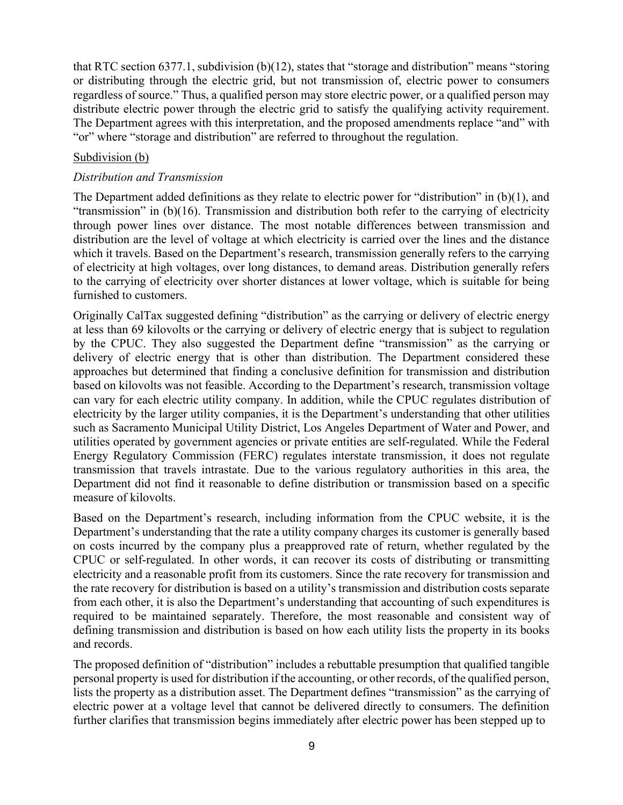that RTC section 6377.1, subdivision (b)(12), states that "storage and distribution" means "storing or distributing through the electric grid, but not transmission of, electric power to consumers regardless of source." Thus, a qualified person may store electric power, or a qualified person may distribute electric power through the electric grid to satisfy the qualifying activity requirement. The Department agrees with this interpretation, and the proposed amendments replace "and" with "or" where "storage and distribution" are referred to throughout the regulation.

#### Subdivision (b)

#### *Distribution and Transmission*

The Department added definitions as they relate to electric power for "distribution" in  $(b)(1)$ , and "transmission" in (b)(16). Transmission and distribution both refer to the carrying of electricity through power lines over distance. The most notable differences between transmission and distribution are the level of voltage at which electricity is carried over the lines and the distance which it travels. Based on the Department's research, transmission generally refers to the carrying of electricity at high voltages, over long distances, to demand areas. Distribution generally refers to the carrying of electricity over shorter distances at lower voltage, which is suitable for being furnished to customers.

Originally CalTax suggested defining "distribution" as the carrying or delivery of electric energy at less than 69 kilovolts or the carrying or delivery of electric energy that is subject to regulation by the CPUC. They also suggested the Department define "transmission" as the carrying or delivery of electric energy that is other than distribution. The Department considered these approaches but determined that finding a conclusive definition for transmission and distribution based on kilovolts was not feasible. According to the Department's research, transmission voltage can vary for each electric utility company. In addition, while the CPUC regulates distribution of electricity by the larger utility companies, it is the Department's understanding that other utilities such as Sacramento Municipal Utility District, Los Angeles Department of Water and Power, and utilities operated by government agencies or private entities are self-regulated. While the Federal Energy Regulatory Commission (FERC) regulates interstate transmission, it does not regulate transmission that travels intrastate. Due to the various regulatory authorities in this area, the Department did not find it reasonable to define distribution or transmission based on a specific measure of kilovolts.

Based on the Department's research, including information from the CPUC website, it is the Department's understanding that the rate a utility company charges its customer is generally based on costs incurred by the company plus a preapproved rate of return, whether regulated by the CPUC or self-regulated. In other words, it can recover its costs of distributing or transmitting electricity and a reasonable profit from its customers. Since the rate recovery for transmission and the rate recovery for distribution is based on a utility's transmission and distribution costs separate from each other, it is also the Department's understanding that accounting of such expenditures is required to be maintained separately. Therefore, the most reasonable and consistent way of defining transmission and distribution is based on how each utility lists the property in its books and records.

The proposed definition of "distribution" includes a rebuttable presumption that qualified tangible personal property is used for distribution if the accounting, or other records, of the qualified person, lists the property as a distribution asset. The Department defines "transmission" as the carrying of electric power at a voltage level that cannot be delivered directly to consumers. The definition further clarifies that transmission begins immediately after electric power has been stepped up to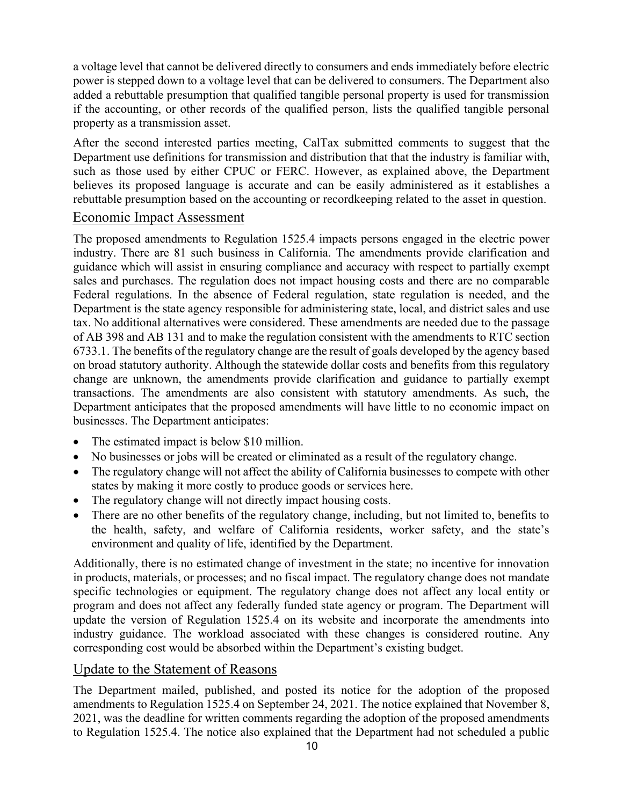a voltage level that cannot be delivered directly to consumers and ends immediately before electric power is stepped down to a voltage level that can be delivered to consumers. The Department also added a rebuttable presumption that qualified tangible personal property is used for transmission if the accounting, or other records of the qualified person, lists the qualified tangible personal property as a transmission asset.

After the second interested parties meeting, CalTax submitted comments to suggest that the Department use definitions for transmission and distribution that that the industry is familiar with, such as those used by either CPUC or FERC. However, as explained above, the Department believes its proposed language is accurate and can be easily administered as it establishes a rebuttable presumption based on the accounting or recordkeeping related to the asset in question.

## Economic Impact Assessment

The proposed amendments to Regulation 1525.4 impacts persons engaged in the electric power industry. There are 81 such business in California. The amendments provide clarification and guidance which will assist in ensuring compliance and accuracy with respect to partially exempt sales and purchases. The regulation does not impact housing costs and there are no comparable Federal regulations. In the absence of Federal regulation, state regulation is needed, and the Department is the state agency responsible for administering state, local, and district sales and use tax. No additional alternatives were considered. These amendments are needed due to the passage of AB 398 and AB 131 and to make the regulation consistent with the amendments to RTC section 6733.1. The benefits of the regulatory change are the result of goals developed by the agency based on broad statutory authority. Although the statewide dollar costs and benefits from this regulatory change are unknown, the amendments provide clarification and guidance to partially exempt transactions. The amendments are also consistent with statutory amendments. As such, the Department anticipates that the proposed amendments will have little to no economic impact on businesses. The Department anticipates:

- The estimated impact is below \$10 million.
- No businesses or jobs will be created or eliminated as a result of the regulatory change.
- The regulatory change will not affect the ability of California businesses to compete with other states by making it more costly to produce goods or services here.
- The regulatory change will not directly impact housing costs.
- There are no other benefits of the regulatory change, including, but not limited to, benefits to the health, safety, and welfare of California residents, worker safety, and the state's environment and quality of life, identified by the Department.

Additionally, there is no estimated change of investment in the state; no incentive for innovation in products, materials, or processes; and no fiscal impact. The regulatory change does not mandate specific technologies or equipment. The regulatory change does not affect any local entity or program and does not affect any federally funded state agency or program. The Department will update the version of Regulation 1525.4 on its website and incorporate the amendments into industry guidance. The workload associated with these changes is considered routine. Any corresponding cost would be absorbed within the Department's existing budget.

# Update to the Statement of Reasons

The Department mailed, published, and posted its notice for the adoption of the proposed amendments to Regulation 1525.4 on September 24, 2021. The notice explained that November 8, 2021, was the deadline for written comments regarding the adoption of the proposed amendments to Regulation 1525.4. The notice also explained that the Department had not scheduled a public